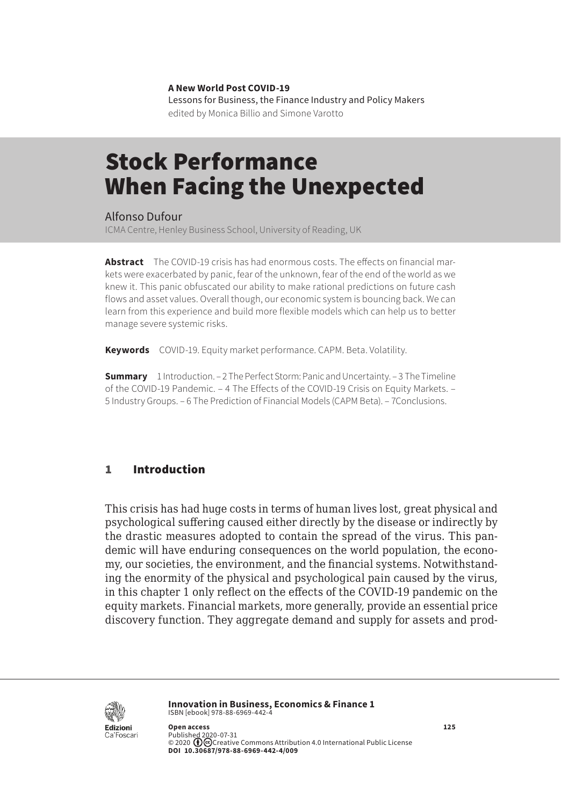**A New World Post COVID-19** Lessons for Business, the Finance Industry and Policy Makers edited by Monica Billio and Simone Varotto

# Stock Performance When Facing the Unexpected

Alfonso Dufour

ICMA Centre, Henley Business School, University of Reading, UK

**Abstract** The COVID-19 crisis has had enormous costs. The effects on financial markets were exacerbated by panic, fear of the unknown, fear of the end of the world as we knew it. This panic obfuscated our ability to make rational predictions on future cash flows and asset values. Overall though, our economic system is bouncing back. We can learn from this experience and build more flexible models which can help us to better manage severe systemic risks.

**Keywords** COVID-19. Equity market performance. CAPM. Beta. Volatility.

**Summary** [1 Introduction](#page-1-0). – [2 The Perfect Storm: Panic and Uncertainty.](#page-1-0) – 3 [The Timeline](#page-3-0)  [of the COVID-19 Pandemic.](#page-3-0) – [4 The Effects of the COVID-19 Crisis on Equity Markets.](#page-4-0) – 5 [Industry Groups](#page-5-0). – [6 The Prediction of Financial Models \(CAPM Beta\).](#page-8-0) – [7Conclusions.](#page-11-0)

### 1 Introduction

This crisis has had huge costs in terms of human lives lost, great physical and psychological suffering caused either directly by the disease or indirectly by the drastic measures adopted to contain the spread of the virus. This pandemic will have enduring consequences on the world population, the economy, our societies, the environment, and the financial systems. Notwithstanding the enormity of the physical and psychological pain caused by the virus, in this chapter 1 only reflect on the effects of the COVID-19 pandemic on the equity markets. Financial markets, more generally, provide an essential price discovery function. They aggregate demand and supply for assets and prod-



**Innovation in Business, Economics & Finance 1** ISBN [ebook] 978-88-6969-442-4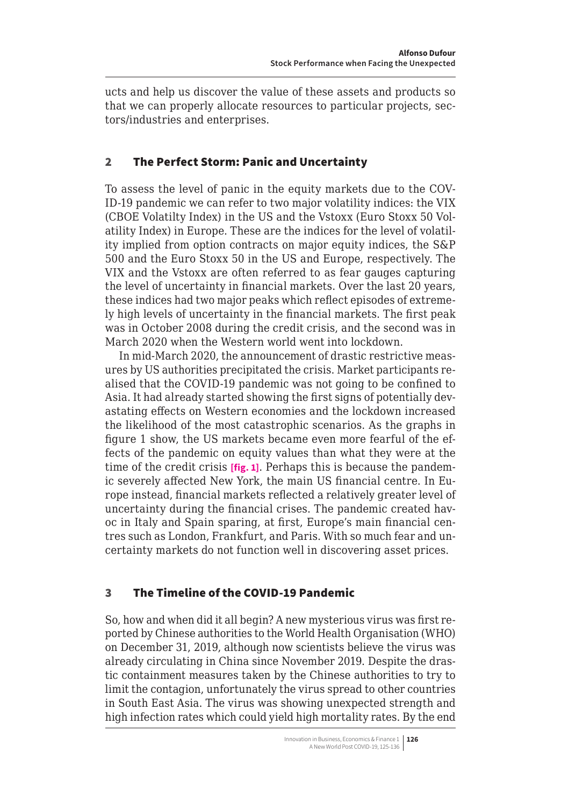<span id="page-1-0"></span>ucts and help us discover the value of these assets and products so that we can properly allocate resources to particular projects, sectors/industries and enterprises.

## 2 The Perfect Storm: Panic and Uncertainty

To assess the level of panic in the equity markets due to the COV-ID-19 pandemic we can refer to two major volatility indices: the VIX (CBOE Volatilty Index) in the US and the Vstoxx (Euro Stoxx 50 Volatility Index) in Europe. These are the indices for the level of volatility implied from option contracts on major equity indices, the S&P 500 and the Euro Stoxx 50 in the US and Europe, respectively. The VIX and the Vstoxx are often referred to as fear gauges capturing the level of uncertainty in financial markets. Over the last 20 years, these indices had two major peaks which reflect episodes of extremely high levels of uncertainty in the financial markets. The first peak was in October 2008 during the credit crisis, and the second was in March 2020 when the Western world went into lockdown.

In mid-March 2020, the announcement of drastic restrictive measures by US authorities precipitated the crisis. Market participants realised that the COVID-19 pandemic was not going to be confined to Asia. It had already started showing the first signs of potentially devastating effects on Western economies and the lockdown increased the likelihood of the most catastrophic scenarios. As the graphs in figure 1 show, the US markets became even more fearful of the effects of the pandemic on equity values than what they were at the time of the credit crisis **[fig. 1]**. Perhaps this is because the pandemic severely affected New York, the main US financial centre. In Europe instead, financial markets reflected a relatively greater level of uncertainty during the financial crises. The pandemic created havoc in Italy and Spain sparing, at first, Europe's main financial centres such as London, Frankfurt, and Paris. With so much fear and uncertainty markets do not function well in discovering asset prices.

# 3 The Timeline of the COVID-19 Pandemic

So, how and when did it all begin? A new mysterious virus was first reported by Chinese authorities to the World Health Organisation (WHO) on December 31, 2019, although now scientists believe the virus was already circulating in China since November 2019. Despite the drastic containment measures taken by the Chinese authorities to try to limit the contagion, unfortunately the virus spread to other countries in South East Asia. The virus was showing unexpected strength and high infection rates which could yield high mortality rates. By the end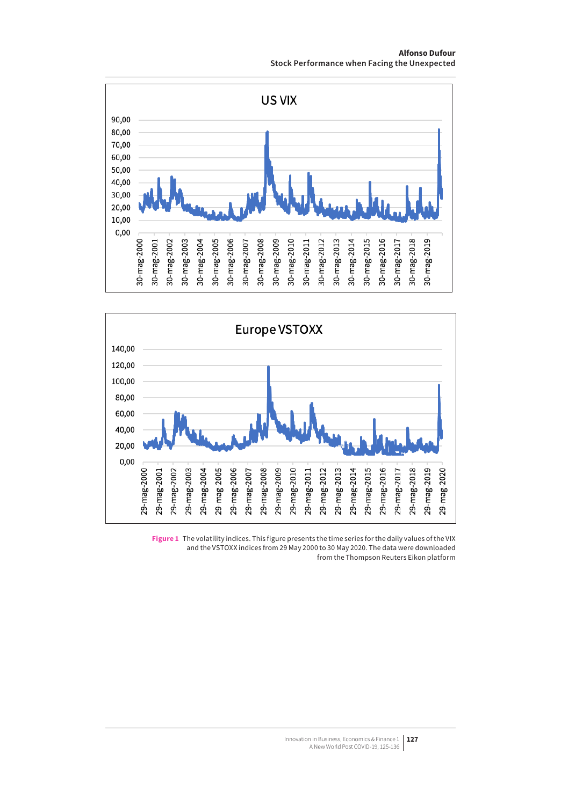**Alfonso Dufour Stock Performance when Facing the Unexpected**





**Figure 1** The volatility indices. This figure presents the time series for the daily values of the VIX and the VSTOXX indices from 29 May 2000 to 30 May 2020. The data were downloaded from the Thompson Reuters Eikon platform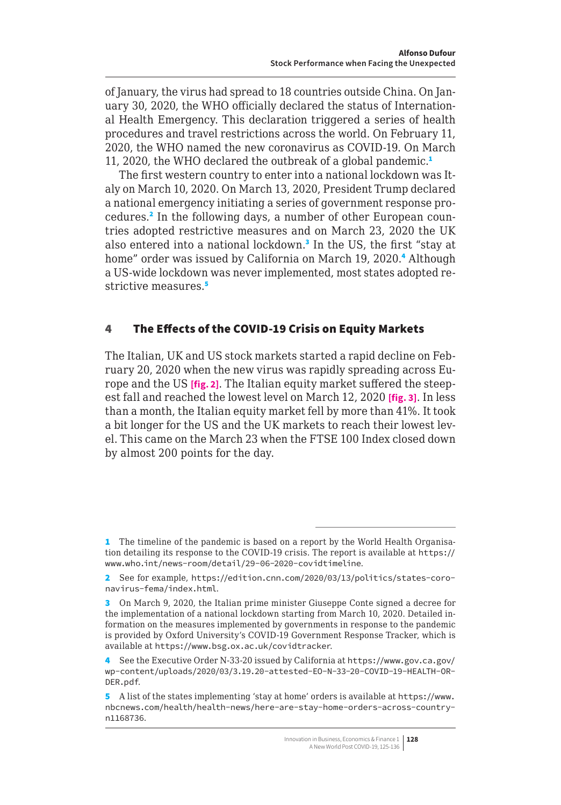<span id="page-3-0"></span>of January, the virus had spread to 18 countries outside China. On January 30, 2020, the WHO officially declared the status of International Health Emergency. This declaration triggered a series of health procedures and travel restrictions across the world. On February 11, 2020, the WHO named the new coronavirus as COVID-19. On March 11, 2020, the WHO declared the outbreak of a global pandemic.<sup>1</sup>

The first western country to enter into a national lockdown was Italy on March 10, 2020. On March 13, 2020, President Trump declared a national emergency initiating a series of government response procedures.<sup>2</sup> In the following days, a number of other European countries adopted restrictive measures and on March 23, 2020 the UK also entered into a national lockdown.<sup>3</sup> In the US, the first "stay at home" order was issued by California on March 19, 2020.<sup>4</sup> Although a US-wide lockdown was never implemented, most states adopted restrictive measures.<sup>5</sup>

## 4 The Effects of the COVID-19 Crisis on Equity Markets

The Italian, UK and US stock markets started a rapid decline on February 20, 2020 when the new virus was rapidly spreading across Europe and the US **[fig. 2]**. The Italian equity market suffered the steepest fall and reached the lowest level on March 12, 2020 **[fig. 3]**. In less than a month, the Italian equity market fell by more than 41%. It took a bit longer for the US and the UK markets to reach their lowest level. This came on the March 23 when the FTSE 100 Index closed down by almost 200 points for the day.

<sup>1</sup> The timeline of the pandemic is based on a report by the World Health Organisation detailing its response to the COVID-19 crisis. The report is available at [https://](https://www.who.int/news-room/detail/29-06-2020-covidtimeline) [www.who.int/news-room/detail/29-06-2020-covidtimeline](https://www.who.int/news-room/detail/29-06-2020-covidtimeline).

<sup>2</sup> See for example, [https://edition.cnn.com/2020/03/13/politics/states-coro](https://edition.cnn.com/2020/03/13/politics/states-coronavirus-fema/index.html)[navirus-fema/index.html](https://edition.cnn.com/2020/03/13/politics/states-coronavirus-fema/index.html).

<sup>3</sup> On March 9, 2020, the Italian prime minister Giuseppe Conte signed a decree for the implementation of a national lockdown starting from March 10, 2020. Detailed information on the measures implemented by governments in response to the pandemic is provided by Oxford University's COVID-19 Government Response Tracker, which is available at <https://www.bsg.ox.ac.uk/covidtracker>.

<sup>4</sup> See the Executive Order N-33-20 issued by California at [https://www.gov.ca.gov/](https://www.gov.ca.gov/wp-content/uploads/2020/03/3.19.20-attested-EO-N-33-20-COVID-19-HEALTH-ORDER.pdf) [wp-content/uploads/2020/03/3.19.20-attested-EO-N-33-20-COVID-19-HEALTH-OR-](https://www.gov.ca.gov/wp-content/uploads/2020/03/3.19.20-attested-EO-N-33-20-COVID-19-HEALTH-ORDER.pdf)[DER.pdf](https://www.gov.ca.gov/wp-content/uploads/2020/03/3.19.20-attested-EO-N-33-20-COVID-19-HEALTH-ORDER.pdf).

<sup>5</sup> A list of the states implementing 'stay at home' orders is available at [https://www.](https://www.nbcnews.com/health/health-news/here-are-stay-home-orders-across-country-n1168736) [nbcnews.com/health/health-news/here-are-stay-home-orders-across-country](https://www.nbcnews.com/health/health-news/here-are-stay-home-orders-across-country-n1168736)[n1168736](https://www.nbcnews.com/health/health-news/here-are-stay-home-orders-across-country-n1168736).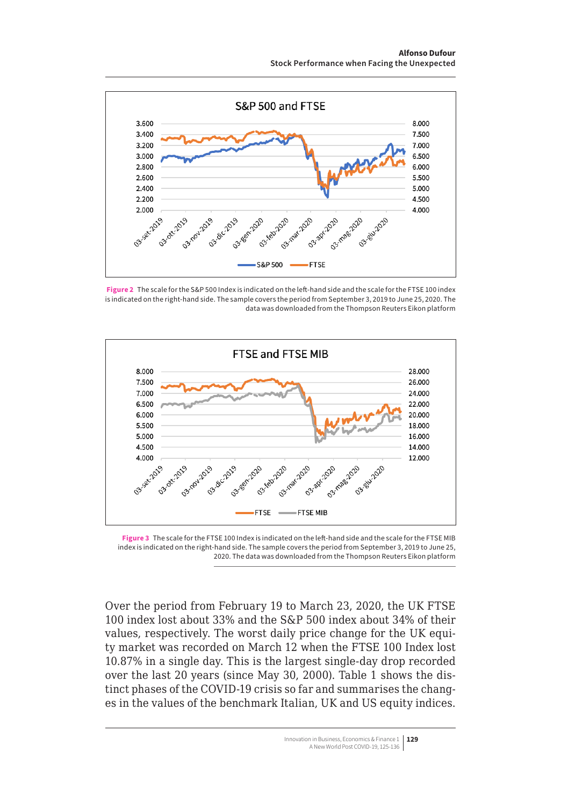<span id="page-4-0"></span>

**Figure 2** The scale for the S&P 500 Index is indicated on the left-hand side and the scale for the FTSE 100 index is indicated on the right-hand side. The sample covers the period from September 3, 2019 to June 25, 2020. The data was downloaded from the Thompson Reuters Eikon platform



**Figure 3** The scale for the FTSE 100 Index is indicated on the left-hand side and the scale for the FTSE MIB index is indicated on the right-hand side. The sample covers the period from September 3, 2019 to June 25, 2020. The data was downloaded from the Thompson Reuters Eikon platform

Over the period from February 19 to March 23, 2020, the UK FTSE 100 index lost about 33% and the S&P 500 index about 34% of their values, respectively. The worst daily price change for the UK equity market was recorded on March 12 when the FTSE 100 Index lost 10.87% in a single day. This is the largest single-day drop recorded over the last 20 years (since May 30, 2000). Table 1 shows the distinct phases of the COVID-19 crisis so far and summarises the changes in the values of the benchmark Italian, UK and US equity indices.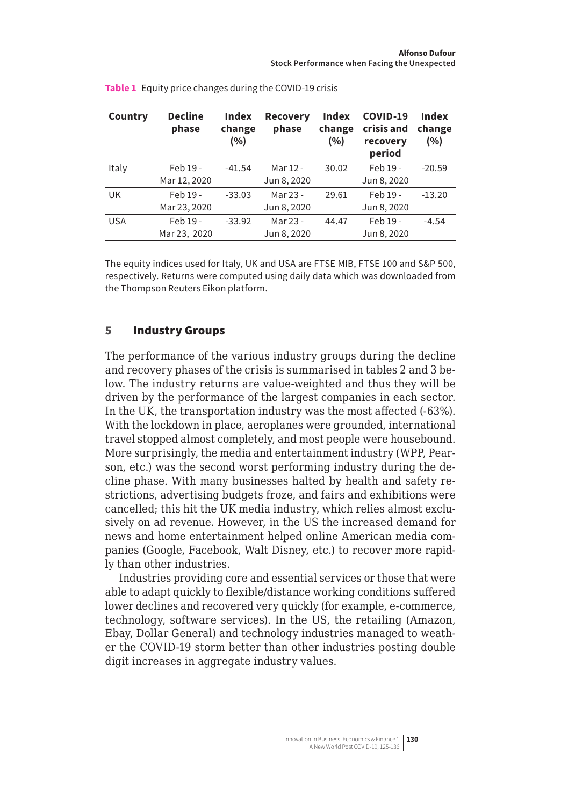| Country    | <b>Decline</b><br>phase | Index<br>change<br>(%) | <b>Recovery</b><br>phase | Index<br>change<br>(%) | COVID-19<br>crisis and<br>recovery<br>period | Index<br>change<br>(%) |
|------------|-------------------------|------------------------|--------------------------|------------------------|----------------------------------------------|------------------------|
| Italy      | Feb 19 -                | $-41.54$               | Mar 12 -                 | 30.02                  | Feb 19 -                                     | $-20.59$               |
|            | Mar 12, 2020            |                        | Jun 8, 2020              |                        | Jun 8, 2020                                  |                        |
| UK         | Feb 19 -                | $-33.03$               | Mar 23 -                 | 29.61                  | Feb 19 -                                     | $-13.20$               |
|            | Mar 23, 2020            |                        | Jun 8, 2020              |                        | Jun 8, 2020                                  |                        |
| <b>USA</b> | Feb 19 -                | $-33.92$               | Mar 23 -                 | 44.47                  | Feb 19 -                                     | $-4.54$                |
|            | Mar 23, 2020            |                        | Jun 8, 2020              |                        | Jun 8, 2020                                  |                        |

<span id="page-5-0"></span>

|  | <b>Table 1</b> Equity price changes during the COVID-19 crisis |
|--|----------------------------------------------------------------|
|--|----------------------------------------------------------------|

The equity indices used for Italy, UK and USA are FTSE MIB, FTSE 100 and S&P 500, respectively. Returns were computed using daily data which was downloaded from the Thompson Reuters Eikon platform.

### 5 Industry Groups

The performance of the various industry groups during the decline and recovery phases of the crisis is summarised in tables 2 and 3 below. The industry returns are value-weighted and thus they will be driven by the performance of the largest companies in each sector. In the UK, the transportation industry was the most affected (-63%). With the lockdown in place, aeroplanes were grounded, international travel stopped almost completely, and most people were housebound. More surprisingly, the media and entertainment industry (WPP, Pearson, etc.) was the second worst performing industry during the decline phase. With many businesses halted by health and safety restrictions, advertising budgets froze, and fairs and exhibitions were cancelled; this hit the UK media industry, which relies almost exclusively on ad revenue. However, in the US the increased demand for news and home entertainment helped online American media companies (Google, Facebook, Walt Disney, etc.) to recover more rapidly than other industries.

Industries providing core and essential services or those that were able to adapt quickly to flexible/distance working conditions suffered lower declines and recovered very quickly (for example, e-commerce, technology, software services). In the US, the retailing (Amazon, Ebay, Dollar General) and technology industries managed to weather the COVID-19 storm better than other industries posting double digit increases in aggregate industry values.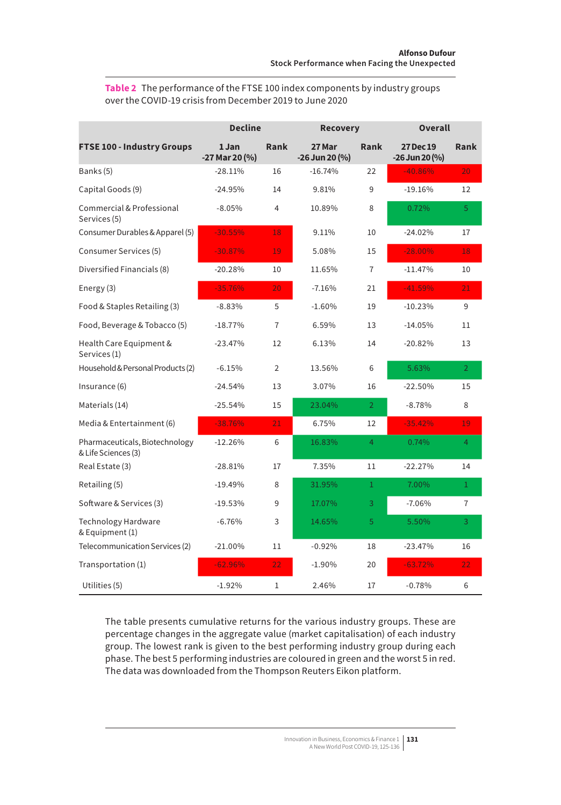| <b>Table 2</b> The performance of the FTSE 100 index components by industry groups |  |  |
|------------------------------------------------------------------------------------|--|--|
| over the COVID-19 crisis from December 2019 to June 2020                           |  |  |

|                                                       | <b>Decline</b>          |                 | <b>Recovery</b>          |                | <b>Overall</b>                         |                |
|-------------------------------------------------------|-------------------------|-----------------|--------------------------|----------------|----------------------------------------|----------------|
| FTSE 100 - Industry Groups                            | 1 Jan<br>-27 Mar 20 (%) | Rank            | 27 Mar<br>-26 Jun 20 (%) | Rank           | <b>27 Dec 19</b><br>$-26$ Jun 20 $(%)$ | Rank           |
| Banks (5)                                             | $-28.11%$               | 16              | $-16.74%$                | 22             | $-40.86%$                              | 20             |
| Capital Goods (9)                                     | $-24.95%$               | 14              | 9.81%                    | 9              | $-19.16%$                              | 12             |
| Commercial & Professional<br>Services (5)             | $-8.05%$                | 4               | 10.89%                   | 8              | 0.72%                                  | 5              |
| Consumer Durables & Apparel (5)                       | $-30.55%$               | 18              | 9.11%                    | 10             | $-24.02%$                              | 17             |
| Consumer Services (5)                                 | $-30.87%$               | 19              | 5.08%                    | 15             | $-28.00\%$                             | 18             |
| Diversified Financials (8)                            | $-20.28%$               | 10              | 11.65%                   | 7              | $-11.47%$                              | 10             |
| Energy (3)                                            | $-35.76%$               | 20 <sub>1</sub> | $-7.16%$                 | 21             | $-41.59%$                              | 21             |
| Food & Staples Retailing (3)                          | $-8.83%$                | 5               | $-1.60%$                 | 19             | $-10.23%$                              | 9              |
| Food, Beverage & Tobacco (5)                          | $-18.77%$               | 7               | 6.59%                    | 13             | $-14.05%$                              | 11             |
| Health Care Equipment &<br>Services (1)               | $-23.47%$               | 12              | 6.13%                    | 14             | $-20.82%$                              | 13             |
| Household & Personal Products (2)                     | $-6.15%$                | $\overline{2}$  | 13.56%                   | 6              | 5.63%                                  | $\overline{2}$ |
| Insurance (6)                                         | $-24.54%$               | 13              | 3.07%                    | 16             | $-22.50%$                              | 15             |
| Materials (14)                                        | $-25.54%$               | 15              | 23.04%                   | $\overline{2}$ | $-8.78%$                               | 8              |
| Media & Entertainment (6)                             | $-38.76%$               | 21              | 6.75%                    | 12             | $-35.42%$                              | 19             |
| Pharmaceuticals, Biotechnology<br>& Life Sciences (3) | $-12.26%$               | 6               | 16.83%                   | 4              | 0.74%                                  | 4              |
| Real Estate (3)                                       | $-28.81%$               | 17              | 7.35%                    | 11             | $-22.27%$                              | 14             |
| Retailing (5)                                         | $-19.49%$               | 8               | 31.95%                   | $\mathbf{1}$   | 7.00%                                  | $\mathbf{1}$   |
| Software & Services (3)                               | $-19.53%$               | 9               | 17.07%                   | 3              | $-7.06%$                               | $\overline{7}$ |
| <b>Technology Hardware</b><br>& Equipment (1)         | $-6.76%$                | 3               | 14.65%                   | 5              | 5.50%                                  | 3              |
| Telecommunication Services (2)                        | $-21.00\%$              | 11              | $-0.92%$                 | 18             | $-23.47%$                              | 16             |
| Transportation (1)                                    | $-62.96%$               | 22              | $-1.90%$                 | 20             | $-63.72%$                              | 22             |
| Utilities (5)                                         | $-1.92%$                | $\mathbf{1}$    | 2.46%                    | 17             | $-0.78%$                               | 6              |

The table presents cumulative returns for the various industry groups. These are percentage changes in the aggregate value (market capitalisation) of each industry group. The lowest rank is given to the best performing industry group during each phase. The best 5 performing industries are coloured in green and the worst 5 in red. The data was downloaded from the Thompson Reuters Eikon platform.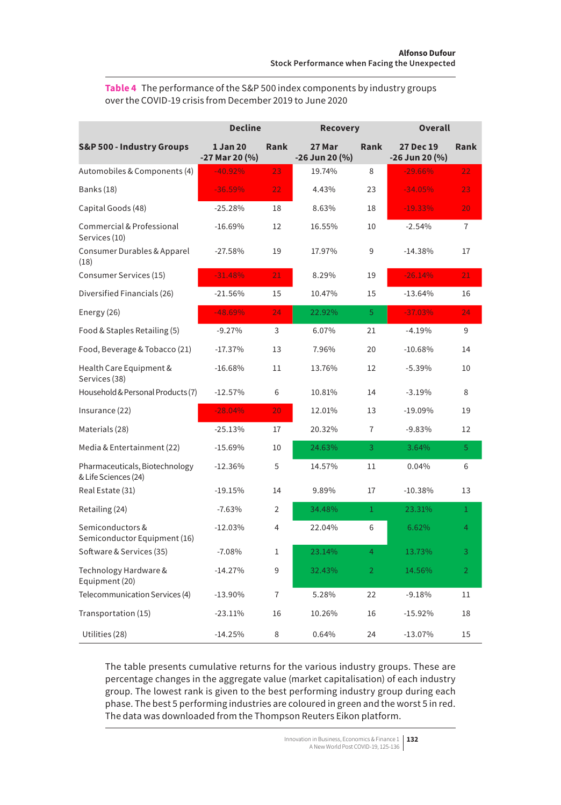**Table 4** The performance of the S&P 500 index components by industry groups over the COVID-19 crisis from December 2019 to June 2020

|                                                        | <b>Decline</b>             |                | <b>Recovery</b>            |                | <b>Overall</b>                |                |
|--------------------------------------------------------|----------------------------|----------------|----------------------------|----------------|-------------------------------|----------------|
| <b>S&amp;P 500 - Industry Groups</b>                   | 1 Jan 20<br>-27 Mar 20 (%) | Rank           | 27 Mar<br>$-26$ Jun 20 (%) | Rank           | 27 Dec 19<br>$-26$ Jun 20 (%) | Rank           |
| Automobiles & Components (4)                           | $-40.92%$                  | 23             | 19.74%                     | 8              | $-29.66%$                     | 22             |
| Banks (18)                                             | $-36.59%$                  | 22             | 4.43%                      | 23             | $-34.05%$                     | 23             |
| Capital Goods (48)                                     | $-25.28%$                  | 18             | 8.63%                      | 18             | $-19.33%$                     | 20             |
| Commercial & Professional<br>Services (10)             | $-16.69%$                  | 12             | 16.55%                     | 10             | $-2.54%$                      | $\overline{7}$ |
| Consumer Durables & Apparel<br>(18)                    | $-27.58%$                  | 19             | 17.97%                     | 9              | $-14.38%$                     | 17             |
| Consumer Services (15)                                 | $-31.48%$                  | 21             | 8.29%                      | 19             | $-26.14%$                     | 21             |
| Diversified Financials (26)                            | $-21.56%$                  | 15             | 10.47%                     | 15             | $-13.64%$                     | 16             |
| Energy (26)                                            | $-48.69%$                  | 24             | 22.92%                     | 5              | $-37.03\%$                    | 24             |
| Food & Staples Retailing (5)                           | $-9.27%$                   | 3              | 6.07%                      | 21             | $-4.19%$                      | 9              |
| Food, Beverage & Tobacco (21)                          | $-17.37%$                  | 13             | 7.96%                      | 20             | $-10.68%$                     | 14             |
| Health Care Equipment &<br>Services (38)               | $-16.68%$                  | 11             | 13.76%                     | 12             | $-5.39%$                      | 10             |
| Household & Personal Products (7)                      | $-12.57%$                  | 6              | 10.81%                     | 14             | $-3.19%$                      | 8              |
| Insurance (22)                                         | $-28.04%$                  | 20             | 12.01%                     | 13             | $-19.09%$                     | 19             |
| Materials (28)                                         | $-25.13%$                  | 17             | 20.32%                     | 7              | $-9.83%$                      | 12             |
| Media & Entertainment (22)                             | $-15.69%$                  | 10             | 24.63%                     | 3              | 3.64%                         | 5              |
| Pharmaceuticals, Biotechnology<br>& Life Sciences (24) | $-12.36%$                  | 5              | 14.57%                     | 11             | 0.04%                         | 6              |
| Real Estate (31)                                       | $-19.15%$                  | 14             | 9.89%                      | 17             | $-10.38%$                     | 13             |
| Retailing (24)                                         | $-7.63%$                   | $\overline{2}$ | 34.48%                     | $\mathbf{1}$   | 23.31%                        | $\mathbf{1}$   |
| Semiconductors &<br>Semiconductor Equipment (16)       | $-12.03%$                  | 4              | 22.04%                     | 6              | 6.62%                         | 4              |
| Software & Services (35)                               | $-7.08%$                   | 1              | 23.14%                     | 4              | 13.73%                        | 3              |
| Technology Hardware &<br>Equipment (20)                | $-14.27%$                  | 9              | 32.43%                     | $\overline{2}$ | 14.56%                        | $\overline{2}$ |
| Telecommunication Services (4)                         | $-13.90\%$                 | 7              | 5.28%                      | 22             | $-9.18%$                      | 11             |
| Transportation (15)                                    | $-23.11%$                  | 16             | 10.26%                     | 16             | $-15.92%$                     | 18             |
| Utilities (28)                                         | $-14.25%$                  | 8              | 0.64%                      | 24             | $-13.07%$                     | 15             |

The table presents cumulative returns for the various industry groups. These are percentage changes in the aggregate value (market capitalisation) of each industry group. The lowest rank is given to the best performing industry group during each phase. The best 5 performing industries are coloured in green and the worst 5 in red. The data was downloaded from the Thompson Reuters Eikon platform.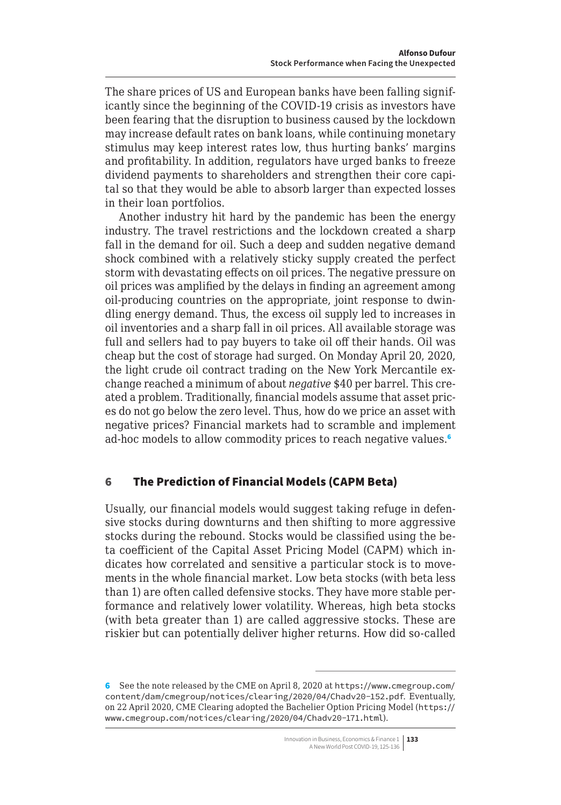<span id="page-8-0"></span>The share prices of US and European banks have been falling significantly since the beginning of the COVID-19 crisis as investors have been fearing that the disruption to business caused by the lockdown may increase default rates on bank loans, while continuing monetary stimulus may keep interest rates low, thus hurting banks' margins and profitability. In addition, regulators have urged banks to freeze dividend payments to shareholders and strengthen their core capital so that they would be able to absorb larger than expected losses in their loan portfolios.

Another industry hit hard by the pandemic has been the energy industry. The travel restrictions and the lockdown created a sharp fall in the demand for oil. Such a deep and sudden negative demand shock combined with a relatively sticky supply created the perfect storm with devastating effects on oil prices. The negative pressure on oil prices was amplified by the delays in finding an agreement among oil-producing countries on the appropriate, joint response to dwindling energy demand. Thus, the excess oil supply led to increases in oil inventories and a sharp fall in oil prices. All available storage was full and sellers had to pay buyers to take oil off their hands. Oil was cheap but the cost of storage had surged. On Monday April 20, 2020, the light crude oil contract trading on the New York Mercantile exchange reached a minimum of about *negative* \$40 per barrel. This created a problem. Traditionally, financial models assume that asset prices do not go below the zero level. Thus, how do we price an asset with negative prices? Financial markets had to scramble and implement ad-hoc models to allow commodity prices to reach negative values.<sup>6</sup>

# 6 The Prediction of Financial Models (CAPM Beta)

Usually, our financial models would suggest taking refuge in defensive stocks during downturns and then shifting to more aggressive stocks during the rebound. Stocks would be classified using the beta coefficient of the Capital Asset Pricing Model (CAPM) which indicates how correlated and sensitive a particular stock is to movements in the whole financial market. Low beta stocks (with beta less than 1) are often called defensive stocks. They have more stable performance and relatively lower volatility. Whereas, high beta stocks (with beta greater than 1) are called aggressive stocks. These are riskier but can potentially deliver higher returns. How did so-called

<sup>6</sup> See the note released by the CME on April 8, 2020 at [https://www.cmegroup.com/](https://www.cmegroup.com/content/dam/cmegroup/notices/clearing/2020/04/Chadv20-152.pdf) [content/dam/cmegroup/notices/clearing/2020/04/Chadv20-152.pdf](https://www.cmegroup.com/content/dam/cmegroup/notices/clearing/2020/04/Chadv20-152.pdf). Eventually, on 22 April 2020, CME Clearing adopted the Bachelier Option Pricing Model ([https://](https://www.cmegroup.com/notices/clearing/2020/04/Chadv20-171.html) [www.cmegroup.com/notices/clearing/2020/04/Chadv20-171.html](https://www.cmegroup.com/notices/clearing/2020/04/Chadv20-171.html)).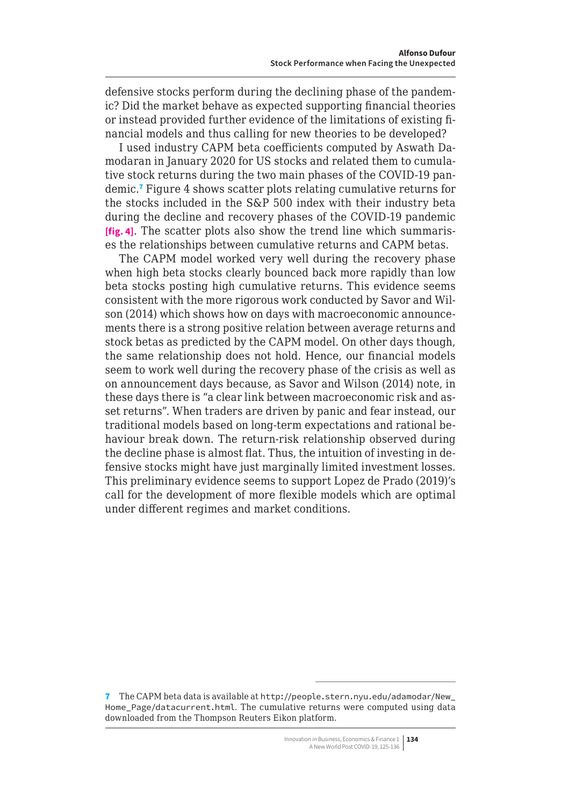defensive stocks perform during the declining phase of the pandemic? Did the market behave as expected supporting financial theories or instead provided further evidence of the limitations of existing financial models and thus calling for new theories to be developed?

I used industry CAPM beta coefficients computed by Aswath Damodaran in January 2020 for US stocks and related them to cumulative stock returns during the two main phases of the COVID-19 pandemic.<sup>7</sup> Figure 4 shows scatter plots relating cumulative returns for the stocks included in the S&P 500 index with their industry beta during the decline and recovery phases of the COVID-19 pandemic **[fig. 4]**. The scatter plots also show the trend line which summarises the relationships between cumulative returns and CAPM betas.

The CAPM model worked very well during the recovery phase when high beta stocks clearly bounced back more rapidly than low beta stocks posting high cumulative returns. This evidence seems consistent with the more rigorous work conducted by Savor and Wilson (2014) which shows how on days with macroeconomic announcements there is a strong positive relation between average returns and stock betas as predicted by the CAPM model. On other days though, the same relationship does not hold. Hence, our financial models seem to work well during the recovery phase of the crisis as well as on announcement days because, as Savor and Wilson (2014) note, in these days there is "a clear link between macroeconomic risk and asset returns". When traders are driven by panic and fear instead, our traditional models based on long-term expectations and rational behaviour break down. The return-risk relationship observed during the decline phase is almost flat. Thus, the intuition of investing in defensive stocks might have just marginally limited investment losses. This preliminary evidence seems to support Lopez de Prado (2019)'s call for the development of more flexible models which are optimal under different regimes and market conditions.

<sup>7</sup> The CAPM beta data is available at [http://people.stern.nyu.edu/adamodar/New\\_](http://people.stern.nyu.edu/adamodar/New_Home_Page/datacurrent.html) [Home\\_Page/datacurrent.html](http://people.stern.nyu.edu/adamodar/New_Home_Page/datacurrent.html). The cumulative returns were computed using data downloaded from the Thompson Reuters Eikon platform.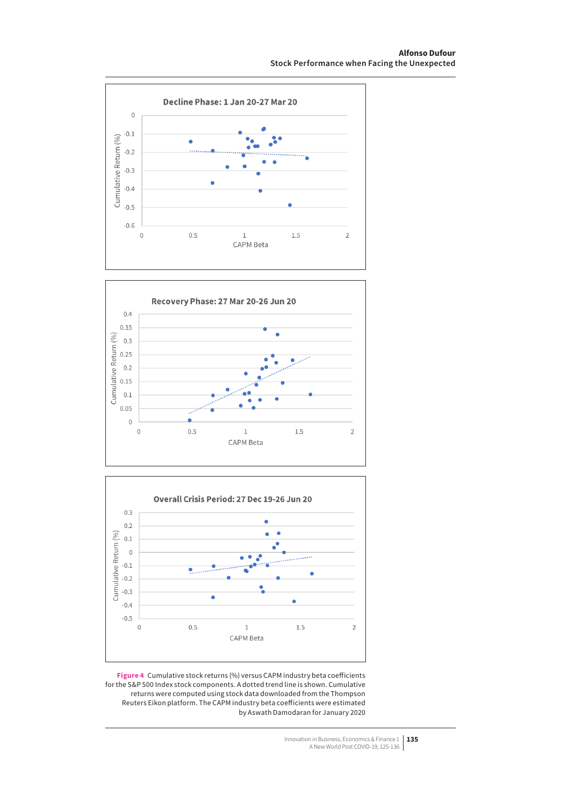





**Figure 4** Cumulative stock returns (%) versus CAPM industry beta coefficients for the S&P 500 Index stock components. A dotted trend line is shown. Cumulative returns were computed using stock data downloaded from the Thompson Reuters Eikon platform. The CAPM industry beta coefficients were estimated by Aswath Damodaran for January 2020